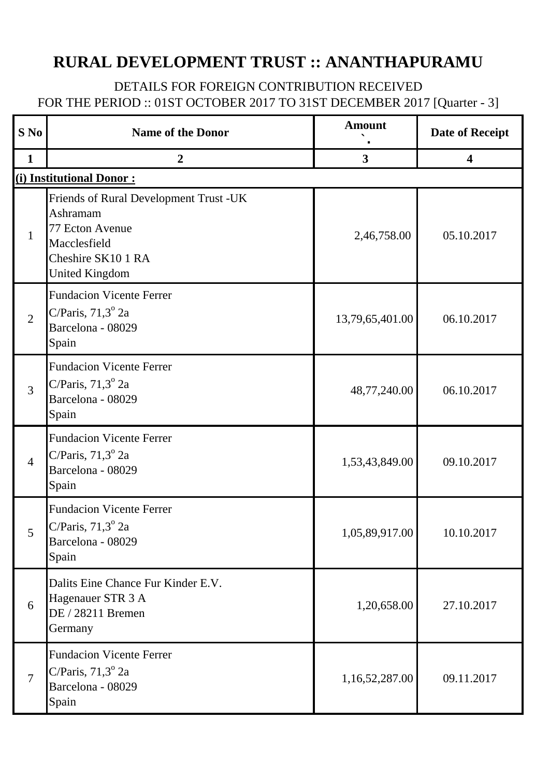## **RURAL DEVELOPMENT TRUST :: ANANTHAPURAMU**

## DETAILS FOR FOREIGN CONTRIBUTION RECEIVED FOR THE PERIOD :: 01ST OCTOBER 2017 TO 31ST DECEMBER 2017 [Quarter - 3]

| $S$ No         | <b>Name of the Donor</b>                                                                                                             | <b>Amount</b>           | <b>Date of Receipt</b>  |
|----------------|--------------------------------------------------------------------------------------------------------------------------------------|-------------------------|-------------------------|
| $\mathbf{1}$   | $\overline{2}$                                                                                                                       | $\overline{\mathbf{3}}$ | $\overline{\mathbf{4}}$ |
|                | (i) Institutional Donor:                                                                                                             |                         |                         |
| $\mathbf{1}$   | Friends of Rural Development Trust -UK<br>Ashramam<br>77 Ecton Avenue<br>Macclesfield<br>Cheshire SK10 1 RA<br><b>United Kingdom</b> | 2,46,758.00             | 05.10.2017              |
| $\overline{2}$ | <b>Fundacion Vicente Ferrer</b><br>C/Paris, $71,3^{\circ}$ 2a<br>Barcelona - 08029<br>Spain                                          | 13,79,65,401.00         | 06.10.2017              |
| $\overline{3}$ | <b>Fundacion Vicente Ferrer</b><br>C/Paris, $71,3^{\circ}$ 2a<br>Barcelona - 08029<br>Spain                                          | 48,77,240.00            | 06.10.2017              |
| $\overline{4}$ | <b>Fundacion Vicente Ferrer</b><br>C/Paris, $71,3^{\circ}$ 2a<br>Barcelona - 08029<br>Spain                                          | 1,53,43,849.00          | 09.10.2017              |
| 5              | <b>Fundacion Vicente Ferrer</b><br>C/Paris, $71.3^\circ$ 2a<br>Barcelona - 08029<br>Spain                                            | 1,05,89,917.00          | 10.10.2017              |
| 6              | Dalits Eine Chance Fur Kinder E.V.<br>Hagenauer STR 3 A<br>DE / 28211 Bremen<br>Germany                                              | 1,20,658.00             | 27.10.2017              |
| $\overline{7}$ | <b>Fundacion Vicente Ferrer</b><br>C/Paris, $71,3^{\circ}$ 2a<br>Barcelona - 08029<br>Spain                                          | 1,16,52,287.00          | 09.11.2017              |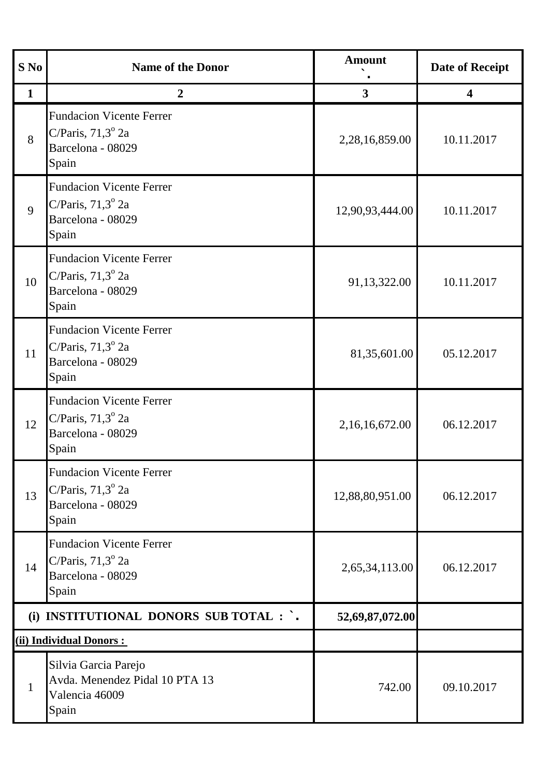| $S$ No       | <b>Name of the Donor</b>                                                                    | <b>Amount</b>   | <b>Date of Receipt</b>  |
|--------------|---------------------------------------------------------------------------------------------|-----------------|-------------------------|
| $\mathbf{1}$ | $\boldsymbol{2}$                                                                            | $\mathbf{3}$    | $\overline{\mathbf{4}}$ |
| 8            | <b>Fundacion Vicente Ferrer</b><br>C/Paris, $71,3^{\circ}$ 2a<br>Barcelona - 08029<br>Spain | 2,28,16,859.00  | 10.11.2017              |
| 9            | <b>Fundacion Vicente Ferrer</b><br>C/Paris, $71,3^{\circ}$ 2a<br>Barcelona - 08029<br>Spain | 12,90,93,444.00 | 10.11.2017              |
| 10           | <b>Fundacion Vicente Ferrer</b><br>C/Paris, $71,3^{\circ}$ 2a<br>Barcelona - 08029<br>Spain | 91,13,322.00    | 10.11.2017              |
| 11           | <b>Fundacion Vicente Ferrer</b><br>C/Paris, $71,3^{\circ}$ 2a<br>Barcelona - 08029<br>Spain | 81,35,601.00    | 05.12.2017              |
| 12           | <b>Fundacion Vicente Ferrer</b><br>C/Paris, $71,3^{\circ}$ 2a<br>Barcelona - 08029<br>Spain | 2,16,16,672.00  | 06.12.2017              |
| 13           | <b>Fundacion Vicente Ferrer</b><br>C/Paris, $71,3^{\circ}$ 2a<br>Barcelona - 08029<br>Spain | 12,88,80,951.00 | 06.12.2017              |
| 14           | <b>Fundacion Vicente Ferrer</b><br>C/Paris, $71,3^{\circ}$ 2a<br>Barcelona - 08029<br>Spain | 2,65,34,113.00  | 06.12.2017              |
|              | (i) INSTITUTIONAL DONORS SUB TOTAL : `.                                                     | 52,69,87,072.00 |                         |
|              | (ii) Individual Donors :                                                                    |                 |                         |
| $\mathbf{1}$ | Silvia Garcia Parejo<br>Avda. Menendez Pidal 10 PTA 13<br>Valencia 46009<br>Spain           | 742.00          | 09.10.2017              |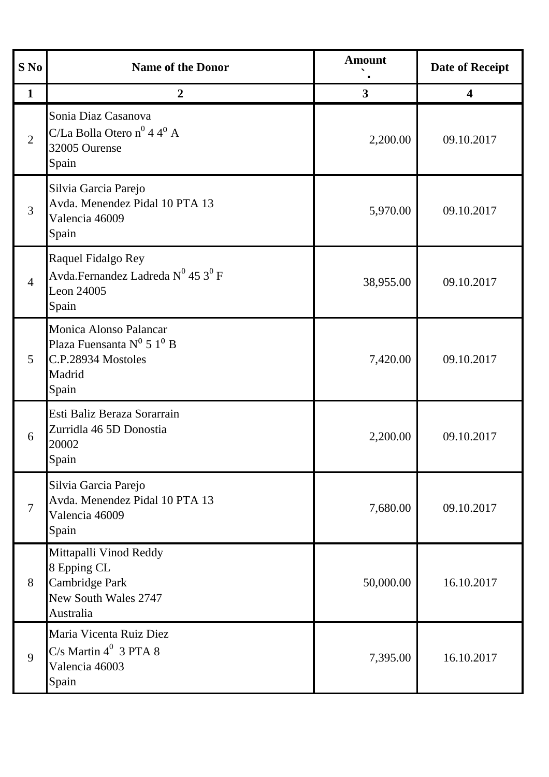| S No            | <b>Name of the Donor</b>                                                                                    | <b>Amount</b>           | <b>Date of Receipt</b> |
|-----------------|-------------------------------------------------------------------------------------------------------------|-------------------------|------------------------|
| $\mathbf{1}$    | $\boldsymbol{2}$                                                                                            | $\overline{\mathbf{3}}$ | 4                      |
| $\overline{2}$  | Sonia Diaz Casanova<br>C/La Bolla Otero n <sup>0</sup> 4 4 <sup>0</sup> A<br>32005 Ourense<br>Spain         | 2,200.00                | 09.10.2017             |
| $\overline{3}$  | Silvia Garcia Parejo<br>Avda. Menendez Pidal 10 PTA 13<br>Valencia 46009<br>Spain                           | 5,970.00                | 09.10.2017             |
| $\overline{4}$  | Raquel Fidalgo Rey<br>Avda.Fernandez Ladreda $N^0$ 45 $3^0$ F<br>Leon 24005<br>Spain                        | 38,955.00               | 09.10.2017             |
| $5\overline{)}$ | Monica Alonso Palancar<br>Plaza Fuensanta $N^0$ 5 1 <sup>0</sup> B<br>C.P.28934 Mostoles<br>Madrid<br>Spain | 7,420.00                | 09.10.2017             |
| 6               | Esti Baliz Beraza Sorarrain<br>Zurridla 46 5D Donostia<br>20002<br>Spain                                    | 2,200.00                | 09.10.2017             |
| $\overline{7}$  | Silvia Garcia Parejo<br>Avda. Menendez Pidal 10 PTA 13<br>Valencia 46009<br>Spain                           | 7,680.00                | 09.10.2017             |
| 8               | Mittapalli Vinod Reddy<br>8 Epping CL<br>Cambridge Park<br>New South Wales 2747<br>Australia                | 50,000.00               | 16.10.2017             |
| 9               | Maria Vicenta Ruiz Diez<br>$C/s$ Martin $4^0$ 3 PTA 8<br>Valencia 46003<br>Spain                            | 7,395.00                | 16.10.2017             |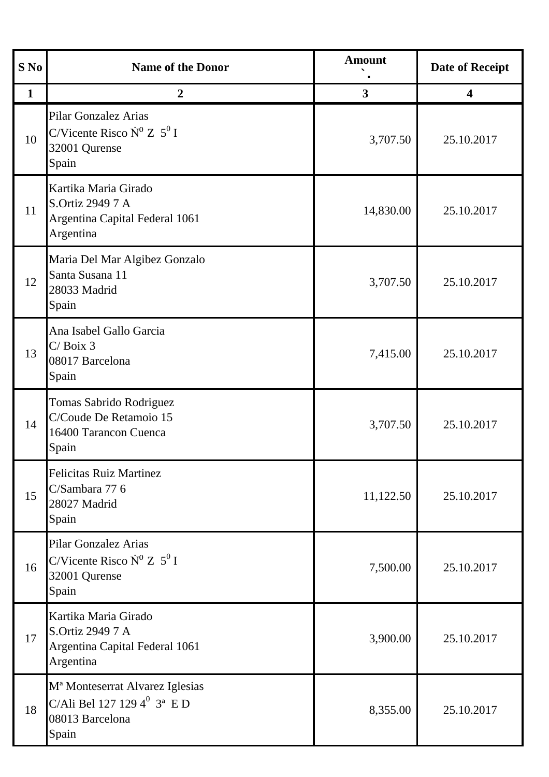| S No         | <b>Name of the Donor</b>                                                                                              | <b>Amount</b>           | <b>Date of Receipt</b>  |
|--------------|-----------------------------------------------------------------------------------------------------------------------|-------------------------|-------------------------|
| $\mathbf{1}$ | $\boldsymbol{2}$                                                                                                      | $\overline{\mathbf{3}}$ | $\overline{\mathbf{4}}$ |
| 10           | Pilar Gonzalez Arias<br>C/Vicente Risco $N^0 Z 5^0 I$<br>32001 Qurense<br>Spain                                       | 3,707.50                | 25.10.2017              |
| 11           | Kartika Maria Girado<br>S.Ortiz 2949 7 A<br>Argentina Capital Federal 1061<br>Argentina                               | 14,830.00               | 25.10.2017              |
| 12           | Maria Del Mar Algibez Gonzalo<br>Santa Susana 11<br>28033 Madrid<br>Spain                                             | 3,707.50                | 25.10.2017              |
| 13           | Ana Isabel Gallo Garcia<br>$C/$ Boix 3<br>08017 Barcelona<br>Spain                                                    | 7,415.00                | 25.10.2017              |
| 14           | Tomas Sabrido Rodriguez<br>C/Coude De Retamoio 15<br>16400 Tarancon Cuenca<br>Spain                                   | 3,707.50                | 25.10.2017              |
| 15           | <b>Felicitas Ruiz Martinez</b><br>C/Sambara 77 6<br>28027 Madrid<br>Spain                                             | 11,122.50               | 25.10.2017              |
| 16           | <b>Pilar Gonzalez Arias</b><br>C/Vicente Risco $N^0 Z 5^0 I$<br>32001 Qurense<br>Spain                                | 7,500.00                | 25.10.2017              |
| 17           | Kartika Maria Girado<br>S.Ortiz 2949 7 A<br>Argentina Capital Federal 1061<br>Argentina                               | 3,900.00                | 25.10.2017              |
| 18           | M <sup>ª</sup> Monteserrat Alvarez Iglesias<br>C/Ali Bel 127 129 $4^0$ 3 <sup>a</sup> E D<br>08013 Barcelona<br>Spain | 8,355.00                | 25.10.2017              |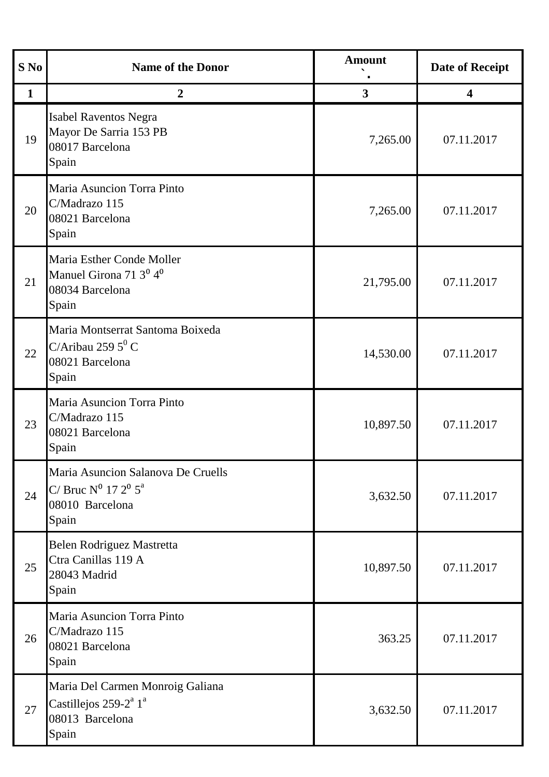| S No         | <b>Name of the Donor</b>                                                                                      | <b>Amount</b> | <b>Date of Receipt</b> |
|--------------|---------------------------------------------------------------------------------------------------------------|---------------|------------------------|
| $\mathbf{1}$ | $\overline{2}$                                                                                                | $\mathbf{3}$  | 4                      |
| 19           | <b>Isabel Raventos Negra</b><br>Mayor De Sarria 153 PB<br>08017 Barcelona<br>Spain                            | 7,265.00      | 07.11.2017             |
| 20           | Maria Asuncion Torra Pinto<br>C/Madrazo 115<br>08021 Barcelona<br>Spain                                       | 7,265.00      | 07.11.2017             |
| 21           | Maria Esther Conde Moller<br>Manuel Girona 71 3 <sup>0</sup> 4 <sup>0</sup><br>08034 Barcelona<br>Spain       | 21,795.00     | 07.11.2017             |
| 22           | Maria Montserrat Santoma Boixeda<br>C/Aribau 259 $5^0$ C<br>08021 Barcelona<br>Spain                          | 14,530.00     | 07.11.2017             |
| 23           | Maria Asuncion Torra Pinto<br>C/Madrazo 115<br>08021 Barcelona<br>Spain                                       | 10,897.50     | 07.11.2017             |
| 24           | Maria Asuncion Salanova De Cruells<br>C/ Bruc $N^0$ 17 $2^0$ $5^a$<br>08010 Barcelona<br>Spain                | 3,632.50      | 07.11.2017             |
| 25           | Belen Rodriguez Mastretta<br>Ctra Canillas 119 A<br>28043 Madrid<br>Spain                                     | 10,897.50     | 07.11.2017             |
| 26           | Maria Asuncion Torra Pinto<br>C/Madrazo 115<br>08021 Barcelona<br>Spain                                       | 363.25        | 07.11.2017             |
| 27           | Maria Del Carmen Monroig Galiana<br>Castillejos 259-2 <sup>ª</sup> 1 <sup>ª</sup><br>08013 Barcelona<br>Spain | 3,632.50      | 07.11.2017             |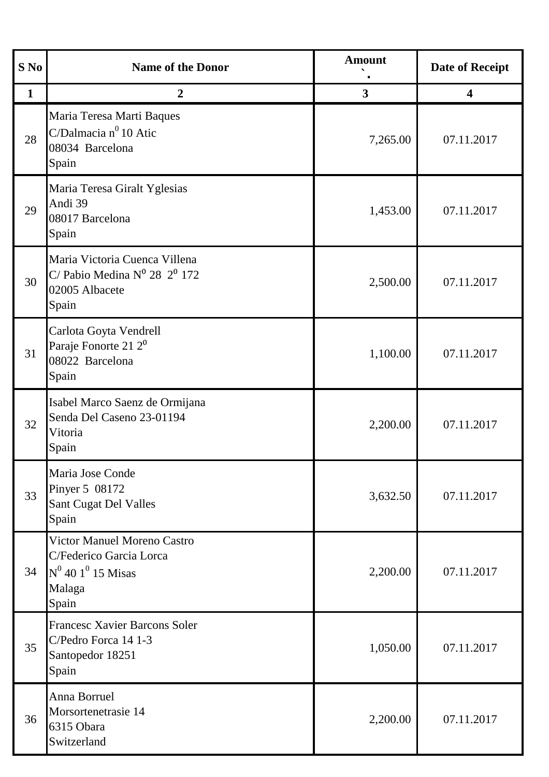| S No         | <b>Name of the Donor</b>                                                                                             | <b>Amount</b> | <b>Date of Receipt</b>  |
|--------------|----------------------------------------------------------------------------------------------------------------------|---------------|-------------------------|
| $\mathbf{1}$ | $\boldsymbol{2}$                                                                                                     | 3             | $\overline{\mathbf{4}}$ |
| 28           | Maria Teresa Marti Baques<br>C/Dalmacia $n^0$ 10 Atic<br>08034 Barcelona<br>Spain                                    | 7,265.00      | 07.11.2017              |
| 29           | Maria Teresa Giralt Yglesias<br>Andi 39<br>08017 Barcelona<br>Spain                                                  | 1,453.00      | 07.11.2017              |
| 30           | Maria Victoria Cuenca Villena<br>C/ Pabio Medina $N^0$ 28 $2^0$ 172<br>02005 Albacete<br>Spain                       | 2,500.00      | 07.11.2017              |
| 31           | Carlota Goyta Vendrell<br>Paraje Fonorte 21 2 <sup>0</sup><br>08022 Barcelona<br>Spain                               | 1,100.00      | 07.11.2017              |
| 32           | Isabel Marco Saenz de Ormijana<br>Senda Del Caseno 23-01194<br>Vitoria<br>Spain                                      | 2,200.00      | 07.11.2017              |
| 33           | Maria Jose Conde<br>Pinyer 5 08172<br>Sant Cugat Del Valles<br>Spain                                                 | 3,632.50      | 07.11.2017              |
| 34           | <b>Victor Manuel Moreno Castro</b><br>C/Federico Garcia Lorca<br>$N^0$ 40 1 <sup>0</sup> 15 Misas<br>Malaga<br>Spain | 2,200.00      | 07.11.2017              |
| 35           | <b>Francesc Xavier Barcons Soler</b><br>C/Pedro Forca 14 1-3<br>Santopedor 18251<br>Spain                            | 1,050.00      | 07.11.2017              |
| 36           | Anna Borruel<br>Morsortenetrasie 14<br>6315 Obara<br>Switzerland                                                     | 2,200.00      | 07.11.2017              |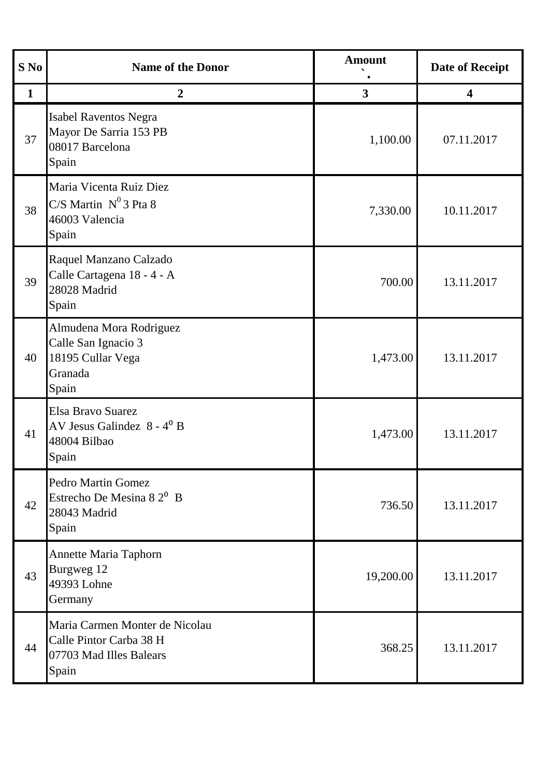| $S$ No       | <b>Name of the Donor</b>                                                                      | <b>Amount</b>           | <b>Date of Receipt</b> |
|--------------|-----------------------------------------------------------------------------------------------|-------------------------|------------------------|
| $\mathbf{1}$ | $\boldsymbol{2}$                                                                              | $\overline{\mathbf{3}}$ | 4                      |
| 37           | <b>Isabel Raventos Negra</b><br>Mayor De Sarria 153 PB<br>08017 Barcelona<br>Spain            | 1,100.00                | 07.11.2017             |
| 38           | Maria Vicenta Ruiz Diez<br>$C/S$ Martin $N^0$ 3 Pta 8<br>46003 Valencia<br>Spain              | 7,330.00                | 10.11.2017             |
| 39           | Raquel Manzano Calzado<br>Calle Cartagena 18 - 4 - A<br>28028 Madrid<br>Spain                 | 700.00                  | 13.11.2017             |
| 40           | Almudena Mora Rodriguez<br>Calle San Ignacio 3<br>18195 Cullar Vega<br>Granada<br>Spain       | 1,473.00                | 13.11.2017             |
| 41           | Elsa Bravo Suarez<br>AV Jesus Galindez 8 - 4 <sup>0</sup> B<br>48004 Bilbao<br>Spain          | 1,473.00                | 13.11.2017             |
| 42           | <b>Pedro Martin Gomez</b><br>Estrecho De Mesina 8 $2^0$ B<br>28043 Madrid<br>Spain            | 736.50                  | 13.11.2017             |
| 43           | Annette Maria Taphorn<br>Burgweg 12<br>49393 Lohne<br>Germany                                 | 19,200.00               | 13.11.2017             |
| 44           | Maria Carmen Monter de Nicolau<br>Calle Pintor Carba 38 H<br>07703 Mad Illes Balears<br>Spain | 368.25                  | 13.11.2017             |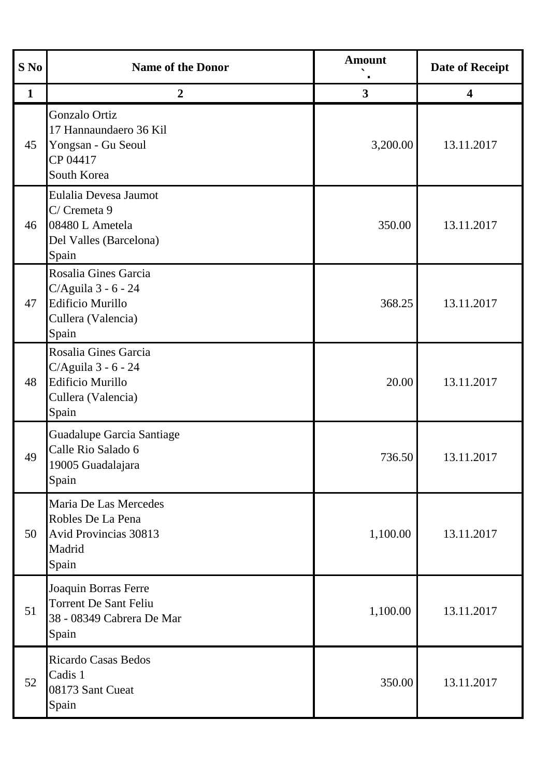| S No         | <b>Name of the Donor</b>                                                                              | <b>Amount</b> | <b>Date of Receipt</b>  |
|--------------|-------------------------------------------------------------------------------------------------------|---------------|-------------------------|
| $\mathbf{1}$ | $\overline{2}$                                                                                        | $\mathbf{3}$  | $\overline{\mathbf{4}}$ |
| 45           | Gonzalo Ortiz<br>17 Hannaundaero 36 Kil<br>Yongsan - Gu Seoul<br>CP 04417<br>South Korea              | 3,200.00      | 13.11.2017              |
| 46           | Eulalia Devesa Jaumot<br>C/ Cremeta 9<br>08480 L Ametela<br>Del Valles (Barcelona)<br>Spain           | 350.00        | 13.11.2017              |
| 47           | Rosalia Gines Garcia<br>C/Aguila 3 - 6 - 24<br><b>Edificio Murillo</b><br>Cullera (Valencia)<br>Spain | 368.25        | 13.11.2017              |
| 48           | Rosalia Gines Garcia<br>C/Aguila 3 - 6 - 24<br><b>Edificio Murillo</b><br>Cullera (Valencia)<br>Spain | 20.00         | 13.11.2017              |
| 49           | Guadalupe Garcia Santiage<br>Calle Rio Salado 6<br>19005 Guadalajara<br>Spain                         | 736.50        | 13.11.2017              |
| 50           | Maria De Las Mercedes<br>Robles De La Pena<br><b>Avid Provincias 30813</b><br>Madrid<br>Spain         | 1,100.00      | 13.11.2017              |
| 51           | Joaquin Borras Ferre<br><b>Torrent De Sant Feliu</b><br>38 - 08349 Cabrera De Mar<br>Spain            | 1,100.00      | 13.11.2017              |
| 52           | <b>Ricardo Casas Bedos</b><br>Cadis 1<br>08173 Sant Cueat<br>Spain                                    | 350.00        | 13.11.2017              |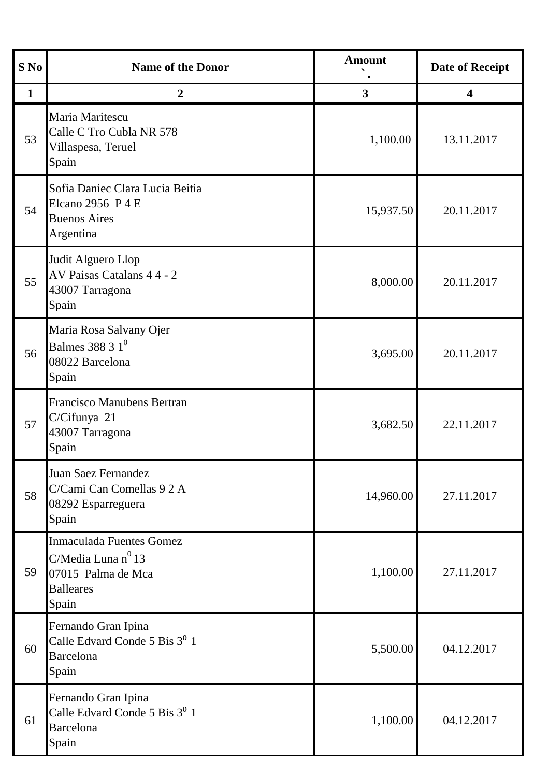| S No         | <b>Name of the Donor</b>                                                                                 | <b>Amount</b> | <b>Date of Receipt</b>  |
|--------------|----------------------------------------------------------------------------------------------------------|---------------|-------------------------|
| $\mathbf{1}$ | $\boldsymbol{2}$                                                                                         | 3             | $\overline{\mathbf{4}}$ |
| 53           | Maria Maritescu<br>Calle C Tro Cubla NR 578<br>Villaspesa, Teruel<br>Spain                               | 1,100.00      | 13.11.2017              |
| 54           | Sofia Daniec Clara Lucia Beitia<br>Elcano 2956 P 4 E<br><b>Buenos Aires</b><br>Argentina                 | 15,937.50     | 20.11.2017              |
| 55           | Judit Alguero Llop<br>AV Paisas Catalans 4 4 - 2<br>43007 Tarragona<br>Spain                             | 8,000.00      | 20.11.2017              |
| 56           | Maria Rosa Salvany Ojer<br>Balmes 388 3 $1^0$<br>08022 Barcelona<br>Spain                                | 3,695.00      | 20.11.2017              |
| 57           | <b>Francisco Manubens Bertran</b><br>C/Cifunya 21<br>43007 Tarragona<br>Spain                            | 3,682.50      | 22.11.2017              |
| 58           | Juan Saez Fernandez<br>C/Cami Can Comellas 9 2 A<br>08292 Esparreguera<br>Spain                          | 14,960.00     | 27.11.2017              |
| 59           | <b>Inmaculada Fuentes Gomez</b><br>C/Media Luna nº 13<br>07015 Palma de Mca<br><b>Balleares</b><br>Spain | 1,100.00      | 27.11.2017              |
| 60           | Fernando Gran Ipina<br>Calle Edvard Conde 5 Bis 3 <sup>0</sup> 1<br><b>Barcelona</b><br>Spain            | 5,500.00      | 04.12.2017              |
| 61           | Fernando Gran Ipina<br>Calle Edvard Conde 5 Bis 3 <sup>0</sup> 1<br><b>Barcelona</b><br>Spain            | 1,100.00      | 04.12.2017              |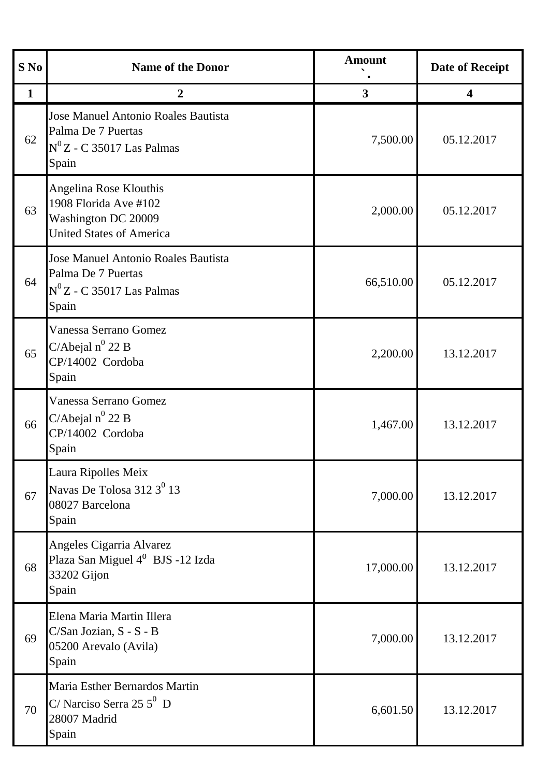| S No         | <b>Name of the Donor</b>                                                                                  | <b>Amount</b> | <b>Date of Receipt</b> |
|--------------|-----------------------------------------------------------------------------------------------------------|---------------|------------------------|
| $\mathbf{1}$ | $\overline{2}$                                                                                            | $\mathbf{3}$  | 4                      |
| 62           | Jose Manuel Antonio Roales Bautista<br>Palma De 7 Puertas<br>$N^0Z$ - C 35017 Las Palmas<br>Spain         | 7,500.00      | 05.12.2017             |
| 63           | Angelina Rose Klouthis<br>1908 Florida Ave #102<br>Washington DC 20009<br><b>United States of America</b> | 2,000.00      | 05.12.2017             |
| 64           | Jose Manuel Antonio Roales Bautista<br>Palma De 7 Puertas<br>$N^0Z$ - C 35017 Las Palmas<br>Spain         | 66,510.00     | 05.12.2017             |
| 65           | Vanessa Serrano Gomez<br>C/Abejal $n^0$ 22 B<br>CP/14002 Cordoba<br>Spain                                 | 2,200.00      | 13.12.2017             |
| 66           | Vanessa Serrano Gomez<br>C/Abejal $n^0$ 22 B<br>CP/14002 Cordoba<br>Spain                                 | 1,467.00      | 13.12.2017             |
| 67           | Laura Ripolles Meix<br>Navas De Tolosa 312 3 <sup>0</sup> 13<br>08027 Barcelona<br>Spain                  | 7,000.00      | 13.12.2017             |
| 68           | Angeles Cigarria Alvarez<br>Plaza San Miguel 4 <sup>0</sup> BJS -12 Izda<br>33202 Gijon<br>Spain          | 17,000.00     | 13.12.2017             |
| 69           | Elena Maria Martin Illera<br>C/San Jozian, S - S - B<br>05200 Arevalo (Avila)<br>Spain                    | 7,000.00      | 13.12.2017             |
| 70           | Maria Esther Bernardos Martin<br>$C/$ Narciso Serra 25 5 <sup>0</sup> D<br>28007 Madrid<br>Spain          | 6,601.50      | 13.12.2017             |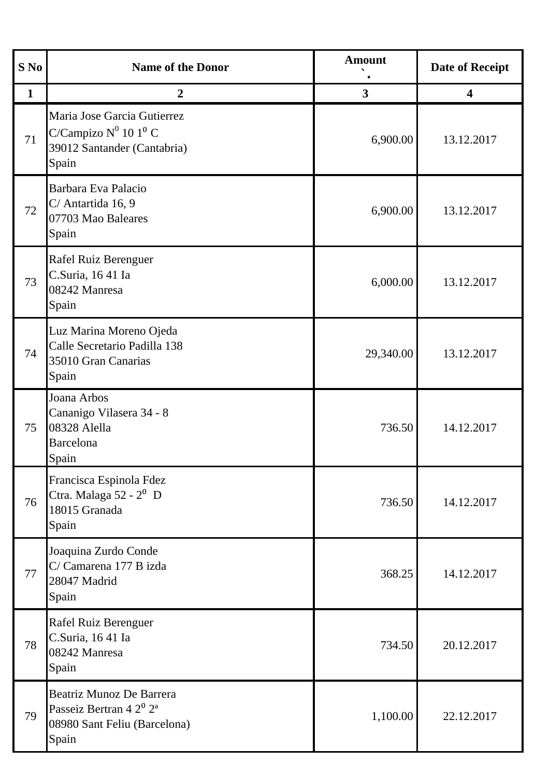| S No         | <b>Name of the Donor</b>                                                                                                    | <b>Amount</b>           | <b>Date of Receipt</b>  |
|--------------|-----------------------------------------------------------------------------------------------------------------------------|-------------------------|-------------------------|
| $\mathbf{1}$ | $\boldsymbol{2}$                                                                                                            | $\overline{\mathbf{3}}$ | $\overline{\mathbf{4}}$ |
| 71           | Maria Jose Garcia Gutierrez<br>C/Campizo $N^0$ 10 1 <sup>0</sup> C<br>39012 Santander (Cantabria)<br>Spain                  | 6,900.00                | 13.12.2017              |
| 72           | Barbara Eva Palacio<br>C/ Antartida 16, 9<br>07703 Mao Baleares<br>Spain                                                    | 6,900.00                | 13.12.2017              |
| 73           | Rafel Ruiz Berenguer<br>C.Suria, 1641 Ia<br>08242 Manresa<br>Spain                                                          | 6,000.00                | 13.12.2017              |
| 74           | Luz Marina Moreno Ojeda<br>Calle Secretario Padilla 138<br>35010 Gran Canarias<br>Spain                                     | 29,340.00               | 13.12.2017              |
| 75           | Joana Arbos<br>Cananigo Vilasera 34 - 8<br>08328 Alella<br>Barcelona<br>Spain                                               | 736.50                  | 14.12.2017              |
| 76           | Francisca Espinola Fdez<br>Ctra. Malaga 52 - 2 <sup>0</sup> D<br>18015 Granada<br>Spain                                     | 736.50                  | 14.12.2017              |
| 77           | Joaquina Zurdo Conde<br>C/ Camarena 177 B izda<br>28047 Madrid<br>Spain                                                     | 368.25                  | 14.12.2017              |
| 78           | Rafel Ruiz Berenguer<br>C.Suria, 1641 Ia<br>08242 Manresa<br>Spain                                                          | 734.50                  | 20.12.2017              |
| 79           | <b>Beatriz Munoz De Barrera</b><br>Passeiz Bertran 4 2 <sup>0</sup> 2 <sup>a</sup><br>08980 Sant Feliu (Barcelona)<br>Spain | 1,100.00                | 22.12.2017              |